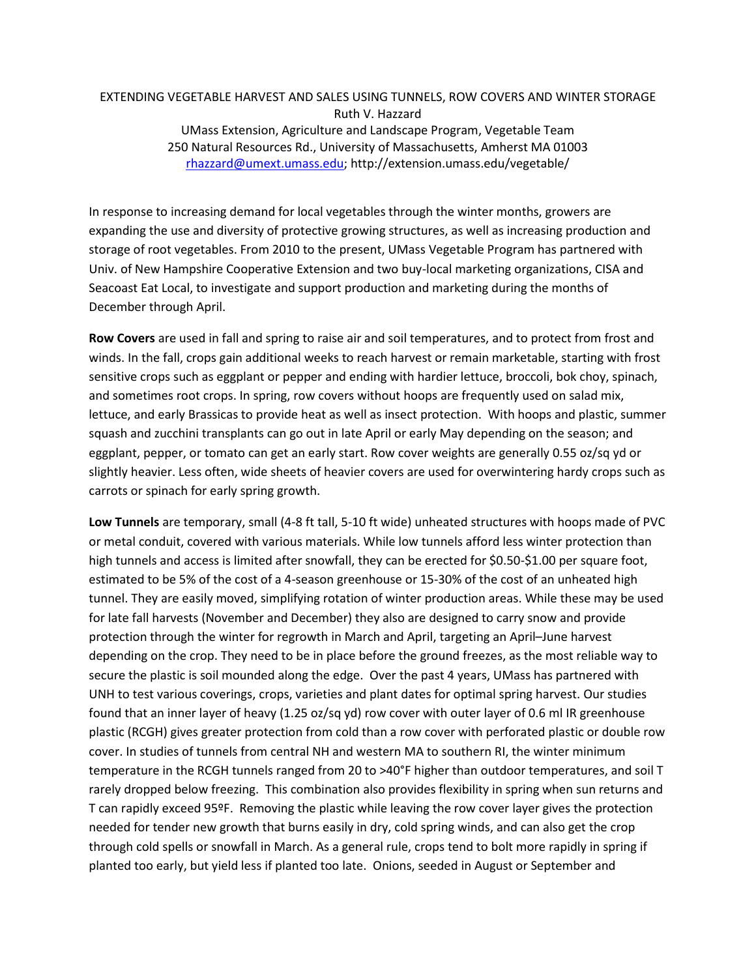## EXTENDING VEGETABLE HARVEST AND SALES USING TUNNELS, ROW COVERS AND WINTER STORAGE Ruth V. Hazzard

UMass Extension, Agriculture and Landscape Program, Vegetable Team 250 Natural Resources Rd., University of Massachusetts, Amherst MA 01003 [rhazzard@umext.umass.edu;](mailto:rhazzard@umext.umass.edu) http://extension.umass.edu/vegetable/

In response to increasing demand for local vegetables through the winter months, growers are expanding the use and diversity of protective growing structures, as well as increasing production and storage of root vegetables. From 2010 to the present, UMass Vegetable Program has partnered with Univ. of New Hampshire Cooperative Extension and two buy-local marketing organizations, CISA and Seacoast Eat Local, to investigate and support production and marketing during the months of December through April.

**Row Covers** are used in fall and spring to raise air and soil temperatures, and to protect from frost and winds. In the fall, crops gain additional weeks to reach harvest or remain marketable, starting with frost sensitive crops such as eggplant or pepper and ending with hardier lettuce, broccoli, bok choy, spinach, and sometimes root crops. In spring, row covers without hoops are frequently used on salad mix, lettuce, and early Brassicas to provide heat as well as insect protection. With hoops and plastic, summer squash and zucchini transplants can go out in late April or early May depending on the season; and eggplant, pepper, or tomato can get an early start. Row cover weights are generally 0.55 oz/sq yd or slightly heavier. Less often, wide sheets of heavier covers are used for overwintering hardy crops such as carrots or spinach for early spring growth.

**Low Tunnels** are temporary, small (4-8 ft tall, 5-10 ft wide) unheated structures with hoops made of PVC or metal conduit, covered with various materials. While low tunnels afford less winter protection than high tunnels and access is limited after snowfall, they can be erected for \$0.50-\$1.00 per square foot, estimated to be 5% of the cost of a 4-season greenhouse or 15-30% of the cost of an unheated high tunnel. They are easily moved, simplifying rotation of winter production areas. While these may be used for late fall harvests (November and December) they also are designed to carry snow and provide protection through the winter for regrowth in March and April, targeting an April–June harvest depending on the crop. They need to be in place before the ground freezes, as the most reliable way to secure the plastic is soil mounded along the edge. Over the past 4 years, UMass has partnered with UNH to test various coverings, crops, varieties and plant dates for optimal spring harvest. Our studies found that an inner layer of heavy (1.25 oz/sq yd) row cover with outer layer of 0.6 ml IR greenhouse plastic (RCGH) gives greater protection from cold than a row cover with perforated plastic or double row cover. In studies of tunnels from central NH and western MA to southern RI, the winter minimum temperature in the RCGH tunnels ranged from 20 to >40°F higher than outdoor temperatures, and soil T rarely dropped below freezing. This combination also provides flexibility in spring when sun returns and T can rapidly exceed 95ºF. Removing the plastic while leaving the row cover layer gives the protection needed for tender new growth that burns easily in dry, cold spring winds, and can also get the crop through cold spells or snowfall in March. As a general rule, crops tend to bolt more rapidly in spring if planted too early, but yield less if planted too late. Onions, seeded in August or September and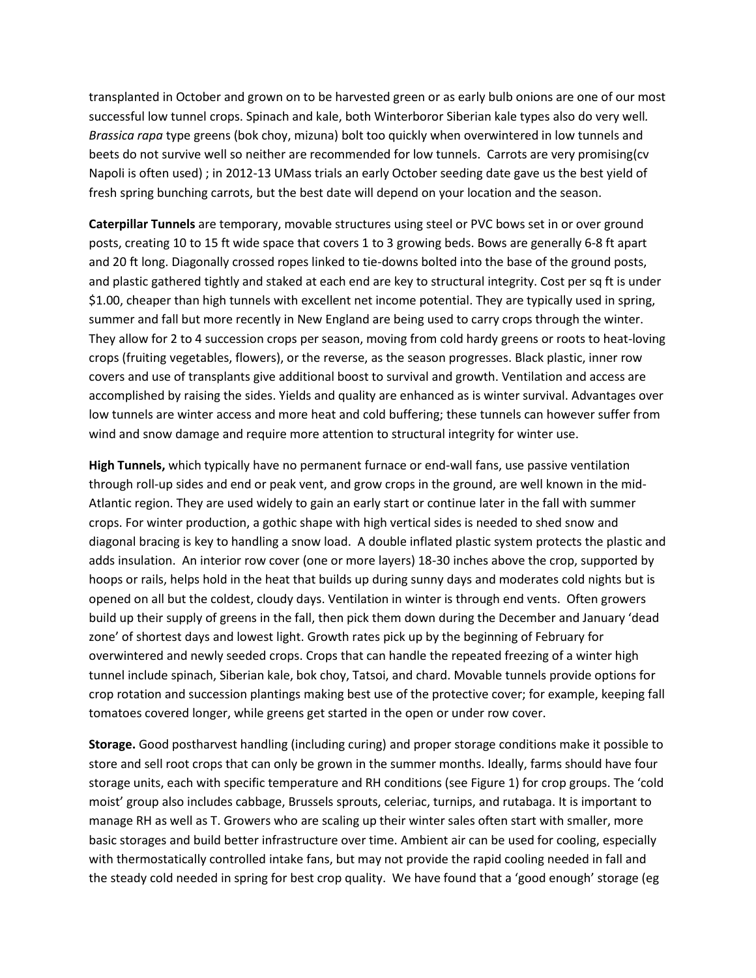transplanted in October and grown on to be harvested green or as early bulb onions are one of our most successful low tunnel crops. Spinach and kale, both Winterboror Siberian kale types also do very well*. Brassica rapa* type greens (bok choy, mizuna) bolt too quickly when overwintered in low tunnels and beets do not survive well so neither are recommended for low tunnels. Carrots are very promising(cv Napoli is often used) ; in 2012-13 UMass trials an early October seeding date gave us the best yield of fresh spring bunching carrots, but the best date will depend on your location and the season.

**Caterpillar Tunnels** are temporary, movable structures using steel or PVC bows set in or over ground posts, creating 10 to 15 ft wide space that covers 1 to 3 growing beds. Bows are generally 6-8 ft apart and 20 ft long. Diagonally crossed ropes linked to tie-downs bolted into the base of the ground posts, and plastic gathered tightly and staked at each end are key to structural integrity. Cost per sq ft is under \$1.00, cheaper than high tunnels with excellent net income potential. They are typically used in spring, summer and fall but more recently in New England are being used to carry crops through the winter. They allow for 2 to 4 succession crops per season, moving from cold hardy greens or roots to heat-loving crops (fruiting vegetables, flowers), or the reverse, as the season progresses. Black plastic, inner row covers and use of transplants give additional boost to survival and growth. Ventilation and access are accomplished by raising the sides. Yields and quality are enhanced as is winter survival. Advantages over low tunnels are winter access and more heat and cold buffering; these tunnels can however suffer from wind and snow damage and require more attention to structural integrity for winter use.

**High Tunnels,** which typically have no permanent furnace or end-wall fans, use passive ventilation through roll-up sides and end or peak vent, and grow crops in the ground, are well known in the mid-Atlantic region. They are used widely to gain an early start or continue later in the fall with summer crops. For winter production, a gothic shape with high vertical sides is needed to shed snow and diagonal bracing is key to handling a snow load. A double inflated plastic system protects the plastic and adds insulation. An interior row cover (one or more layers) 18-30 inches above the crop, supported by hoops or rails, helps hold in the heat that builds up during sunny days and moderates cold nights but is opened on all but the coldest, cloudy days. Ventilation in winter is through end vents. Often growers build up their supply of greens in the fall, then pick them down during the December and January 'dead zone' of shortest days and lowest light. Growth rates pick up by the beginning of February for overwintered and newly seeded crops. Crops that can handle the repeated freezing of a winter high tunnel include spinach, Siberian kale, bok choy, Tatsoi, and chard. Movable tunnels provide options for crop rotation and succession plantings making best use of the protective cover; for example, keeping fall tomatoes covered longer, while greens get started in the open or under row cover.

**Storage.** Good postharvest handling (including curing) and proper storage conditions make it possible to store and sell root crops that can only be grown in the summer months. Ideally, farms should have four storage units, each with specific temperature and RH conditions (see Figure 1) for crop groups. The 'cold moist' group also includes cabbage, Brussels sprouts, celeriac, turnips, and rutabaga. It is important to manage RH as well as T. Growers who are scaling up their winter sales often start with smaller, more basic storages and build better infrastructure over time. Ambient air can be used for cooling, especially with thermostatically controlled intake fans, but may not provide the rapid cooling needed in fall and the steady cold needed in spring for best crop quality. We have found that a 'good enough' storage (eg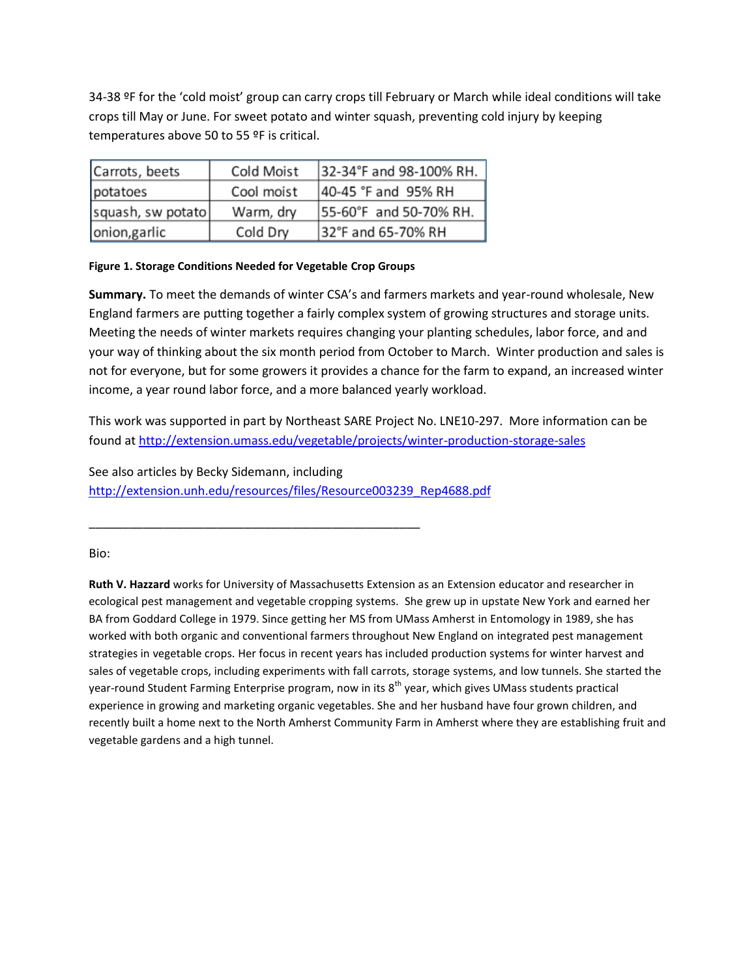34-38 ºF for the 'cold moist' group can carry crops till February or March while ideal conditions will take crops till May or June. For sweet potato and winter squash, preventing cold injury by keeping temperatures above 50 to 55 ºF is critical.

| Carrots, beets    | Cold Moist | 32-34°F and 98-100% RH. |
|-------------------|------------|-------------------------|
| potatoes          | Cool moist | 40-45 °F and 95% RH     |
| squash, sw potato | Warm, dry  | 55-60°F and 50-70% RH.  |
| onion, garlic     | Cold Dry   | 32°F and 65-70% RH      |

## **Figure 1. Storage Conditions Needed for Vegetable Crop Groups**

**Summary.** To meet the demands of winter CSA's and farmers markets and year-round wholesale, New England farmers are putting together a fairly complex system of growing structures and storage units. Meeting the needs of winter markets requires changing your planting schedules, labor force, and and your way of thinking about the six month period from October to March. Winter production and sales is not for everyone, but for some growers it provides a chance for the farm to expand, an increased winter income, a year round labor force, and a more balanced yearly workload.

This work was supported in part by Northeast SARE Project No. LNE10-297. More information can be found a[t http://extension.umass.edu/vegetable/projects/winter-production-storage-sales](http://extension.umass.edu/vegetable/projects/winter-production-storage-sales)

See also articles by Becky Sidemann, including [http://extension.unh.edu/resources/files/Resource003239\\_Rep4688.pdf](http://extension.unh.edu/resources/files/Resource003239_Rep4688.pdf)

\_\_\_\_\_\_\_\_\_\_\_\_\_\_\_\_\_\_\_\_\_\_\_\_\_\_\_\_\_\_\_\_\_\_\_\_\_\_\_\_\_\_\_\_\_\_\_\_\_

Bio:

**Ruth V. Hazzard** works for University of Massachusetts Extension as an Extension educator and researcher in ecological pest management and vegetable cropping systems. She grew up in upstate New York and earned her BA from Goddard College in 1979. Since getting her MS from UMass Amherst in Entomology in 1989, she has worked with both organic and conventional farmers throughout New England on integrated pest management strategies in vegetable crops. Her focus in recent years has included production systems for winter harvest and sales of vegetable crops, including experiments with fall carrots, storage systems, and low tunnels. She started the year-round Student Farming Enterprise program, now in its 8<sup>th</sup> year, which gives UMass students practical experience in growing and marketing organic vegetables. She and her husband have four grown children, and recently built a home next to the North Amherst Community Farm in Amherst where they are establishing fruit and vegetable gardens and a high tunnel.